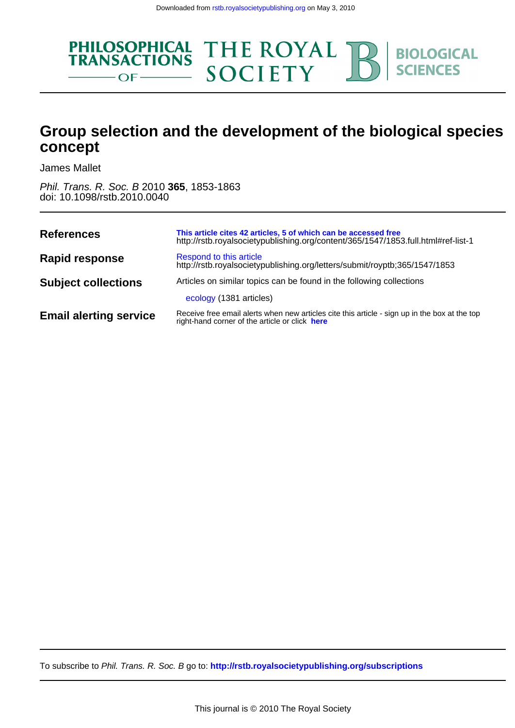

## **concept Group selection and the development of the biological species**

James Mallet

doi: 10.1098/rstb.2010.0040 Phil. Trans. R. Soc. B 2010 **365**, 1853-1863

| <b>References</b>             | This article cites 42 articles, 5 of which can be accessed free<br>http://rstb.royalsocietypublishing.org/content/365/1547/1853.full.html#ref-list-1 |
|-------------------------------|------------------------------------------------------------------------------------------------------------------------------------------------------|
| Rapid response                | Respond to this article<br>http://rstb.royalsocietypublishing.org/letters/submit/royptb;365/1547/1853                                                |
| <b>Subject collections</b>    | Articles on similar topics can be found in the following collections                                                                                 |
|                               | ecology (1381 articles)                                                                                                                              |
| <b>Email alerting service</b> | Receive free email alerts when new articles cite this article - sign up in the box at the top<br>right-hand corner of the article or click here      |

To subscribe to Phil. Trans. R. Soc. B go to: **<http://rstb.royalsocietypublishing.org/subscriptions>**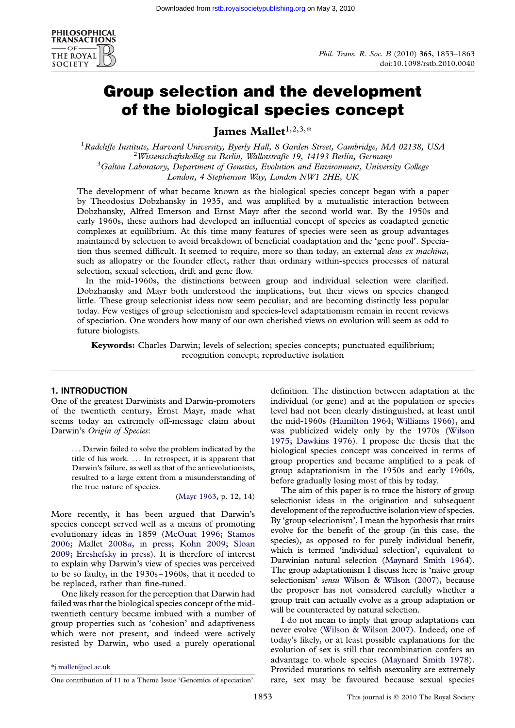

# Group selection and the development of the biological species concept

James Mallet $1,2,3,*$ 

<sup>1</sup>Radcliffe Institute, Harvard University, Byerly Hall, 8 Garden Street, Cambridge, MA 02138, USA<br><sup>2</sup>Wissenschaftsbelleg zu Berlin, Wallatstreße 19, 14193 Berlin, Germann  $2W$ issenschaftskolleg zu Berlin, Wallotstraße 19, 14193 Berlin, Germany  $3G$ dlton Laboratory, Department of Genetics, Evolution and Environment, University College London, 4 Stephenson Way, London NW1 2HE, UK

The development of what became known as the biological species concept began with a paper by Theodosius Dobzhansky in 1935, and was amplified by a mutualistic interaction between Dobzhansky, Alfred Emerson and Ernst Mayr after the second world war. By the 1950s and early 1960s, these authors had developed an influential concept of species as coadapted genetic complexes at equilibrium. At this time many features of species were seen as group advantages maintained by selection to avoid breakdown of beneficial coadaptation and the 'gene pool'. Speciation thus seemed difficult. It seemed to require, more so than today, an external deus ex machina, such as allopatry or the founder effect, rather than ordinary within-species processes of natural selection, sexual selection, drift and gene flow.

In the mid-1960s, the distinctions between group and individual selection were clarified. Dobzhansky and Mayr both understood the implications, but their views on species changed little. These group selectionist ideas now seem peculiar, and are becoming distinctly less popular today. Few vestiges of group selectionism and species-level adaptationism remain in recent reviews of speciation. One wonders how many of our own cherished views on evolution will seem as odd to future biologists.

Keywords: Charles Darwin; levels of selection; species concepts; punctuated equilibrium; recognition concept; reproductive isolation

#### 1. INTRODUCTION

One of the greatest Darwinists and Darwin-promoters of the twentieth century, Ernst Mayr, made what seems today an extremely off-message claim about Darwin's Origin of Species:

... Darwin failed to solve the problem indicated by the title of his work. ... In retrospect, it is apparent that Darwin's failure, as well as that of the antievolutionists, resulted to a large extent from a misunderstanding of the true nature of species.

[\(Mayr 1963](#page-10-0), p. 12, 14)

More recently, it has been argued that Darwin's species concept served well as a means of promoting evolutionary ideas in 1859 ([McOuat 1996;](#page-10-0) [Stamos](#page-11-0) [2006](#page-11-0); Mallet [2008](#page-10-0)a, [in press](#page-10-0); [Kohn 2009](#page-10-0); [Sloan](#page-11-0) [2009](#page-11-0); [Ereshefsky in press\)](#page-10-0). It is therefore of interest to explain why Darwin's view of species was perceived to be so faulty, in the 1930s-1960s, that it needed to be replaced, rather than fine-tuned.

One likely reason for the perception that Darwin had failed was that the biological species concept of the midtwentieth century became imbued with a number of group properties such as 'cohesion' and adaptiveness which were not present, and indeed were actively resisted by Darwin, who used a purely operational

\*[j.mallet@ucl.ac.uk](mailto:j.mallet@ucl.ac.uk)

One contribution of 11 to a Theme Issue 'Genomics of speciation'.

definition. The distinction between adaptation at the individual (or gene) and at the population or species level had not been clearly distinguished, at least until the mid-1960s [\(Hamilton 1964](#page-10-0); [Williams 1966](#page-11-0)), and was publicized widely only by the 1970s ([Wilson](#page-11-0) [1975](#page-11-0); [Dawkins 1976](#page-9-0)). I propose the thesis that the biological species concept was conceived in terms of group properties and became amplified to a peak of group adaptationism in the 1950s and early 1960s, before gradually losing most of this by today.

The aim of this paper is to trace the history of group selectionist ideas in the origination and subsequent development of the reproductive isolation view of species. By 'group selectionism', I mean the hypothesis that traits evolve for the benefit of the group (in this case, the species), as opposed to for purely individual benefit, which is termed 'individual selection', equivalent to Darwinian natural selection [\(Maynard Smith 1964](#page-10-0)). The group adaptationism I discuss here is 'naive group selectionism' sensu [Wilson & Wilson \(2007\),](#page-11-0) because the proposer has not considered carefully whether a group trait can actually evolve as a group adaptation or will be counteracted by natural selection.

I do not mean to imply that group adaptations can never evolve ([Wilson & Wilson 2007](#page-11-0)). Indeed, one of today's likely, or at least possible explanations for the evolution of sex is still that recombination confers an advantage to whole species ([Maynard Smith 1978](#page-10-0)). Provided mutations to selfish asexuality are extremely rare, sex may be favoured because sexual species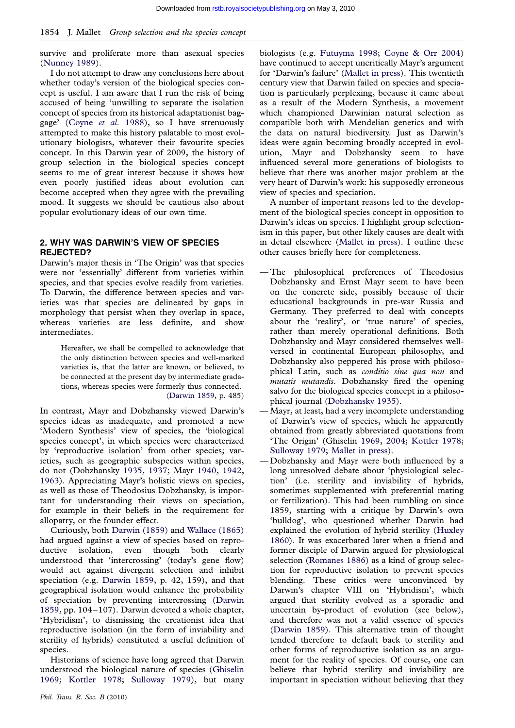survive and proliferate more than asexual species [\(Nunney 1989\)](#page-10-0).

I do not attempt to draw any conclusions here about whether today's version of the biological species concept is useful. I am aware that I run the risk of being accused of being 'unwilling to separate the isolation concept of species from its historical adaptationist baggage' (Coyne et al[. 1988\)](#page-9-0), so I have strenuously attempted to make this history palatable to most evolutionary biologists, whatever their favourite species concept. In this Darwin year of 2009, the history of group selection in the biological species concept seems to me of great interest because it shows how even poorly justified ideas about evolution can become accepted when they agree with the prevailing mood. It suggests we should be cautious also about popular evolutionary ideas of our own time.

## 2. WHY WAS DARWIN'S VIEW OF SPECIES REJECTED?

Darwin's major thesis in 'The Origin' was that species were not 'essentially' different from varieties within species, and that species evolve readily from varieties. To Darwin, the difference between species and varieties was that species are delineated by gaps in morphology that persist when they overlap in space, whereas varieties are less definite, and show intermediates.

Hereafter, we shall be compelled to acknowledge that the only distinction between species and well-marked varieties is, that the latter are known, or believed, to be connected at the present day by intermediate gradations, whereas species were formerly thus connected. ([Darwin 1859,](#page-9-0) p. 485)

In contrast, Mayr and Dobzhansky viewed Darwin's species ideas as inadequate, and promoted a new 'Modern Synthesis' view of species, the 'biological species concept', in which species were characterized by 'reproductive isolation' from other species; varieties, such as geographic subspecies within species, do not (Dobzhansky [1935](#page-9-0), [1937;](#page-9-0) Mayr [1940](#page-10-0), [1942](#page-10-0), [1963](#page-10-0)). Appreciating Mayr's holistic views on species, as well as those of Theodosius Dobzhansky, is important for understanding their views on speciation, for example in their beliefs in the requirement for allopatry, or the founder effect.

Curiously, both [Darwin \(1859\)](#page-9-0) and [Wallace \(1865\)](#page-11-0) had argued against a view of species based on reproductive isolation, even though both clearly understood that 'intercrossing' (today's gene flow) would act against divergent selection and inhibit speciation (e.g. [Darwin 1859,](#page-9-0) p. 42, 159), and that geographical isolation would enhance the probability of speciation by preventing intercrossing ([Darwin](#page-9-0) [1859](#page-9-0), pp.  $104 - 107$ ). Darwin devoted a whole chapter, 'Hybridism', to dismissing the creationist idea that reproductive isolation (in the form of inviability and sterility of hybrids) constituted a useful definition of species.

Historians of science have long agreed that Darwin understood the biological nature of species ([Ghiselin](#page-10-0) [1969](#page-10-0); [Kottler 1978;](#page-10-0) [Sulloway 1979\)](#page-11-0), but many

biologists (e.g. [Futuyma 1998;](#page-10-0) [Coyne & Orr 2004](#page-9-0)) have continued to accept uncritically Mayr's argument for 'Darwin's failure' [\(Mallet in press](#page-10-0)). This twentieth century view that Darwin failed on species and speciation is particularly perplexing, because it came about as a result of the Modern Synthesis, a movement which championed Darwinian natural selection as compatible both with Mendelian genetics and with the data on natural biodiversity. Just as Darwin's ideas were again becoming broadly accepted in evolution, Mayr and Dobzhansky seem to have influenced several more generations of biologists to believe that there was another major problem at the very heart of Darwin's work: his supposedly erroneous view of species and speciation.

A number of important reasons led to the development of the biological species concept in opposition to Darwin's ideas on species. I highlight group selectionism in this paper, but other likely causes are dealt with in detail elsewhere ([Mallet in press\)](#page-10-0). I outline these other causes briefly here for completeness.

- The philosophical preferences of Theodosius Dobzhansky and Ernst Mayr seem to have been on the concrete side, possibly because of their educational backgrounds in pre-war Russia and Germany. They preferred to deal with concepts about the 'reality', or 'true nature' of species, rather than merely operational definitions. Both Dobzhansky and Mayr considered themselves wellversed in continental European philosophy, and Dobzhansky also peppered his prose with philosophical Latin, such as conditio sine qua non and mutatis mutandis. Dobzhansky fired the opening salvo for the biological species concept in a philosophical journal [\(Dobzhansky 1935\)](#page-9-0).
- Mayr, at least, had a very incomplete understanding of Darwin's view of species, which he apparently obtained from greatly abbreviated quotations from 'The Origin' (Ghiselin [1969](#page-10-0), [2004;](#page-10-0) [Kottler 1978](#page-10-0); [Sulloway 1979;](#page-11-0) [Mallet in press](#page-10-0)).
- Dobzhansky and Mayr were both influenced by a long unresolved debate about 'physiological selection' (i.e. sterility and inviability of hybrids, sometimes supplemented with preferential mating or fertilization). This had been rumbling on since 1859, starting with a critique by Darwin's own 'bulldog', who questioned whether Darwin had explained the evolution of hybrid sterility ([Huxley](#page-10-0) [1860](#page-10-0)). It was exacerbated later when a friend and former disciple of Darwin argued for physiological selection [\(Romanes 1886\)](#page-11-0) as a kind of group selection for reproductive isolation to prevent species blending. These critics were unconvinced by Darwin's chapter VIII on 'Hybridism', which argued that sterility evolved as a sporadic and uncertain by-product of evolution (see below), and therefore was not a valid essence of species [\(Darwin 1859](#page-9-0)). This alternative train of thought tended therefore to default back to sterility and other forms of reproductive isolation as an argument for the reality of species. Of course, one can believe that hybrid sterility and inviability are important in speciation without believing that they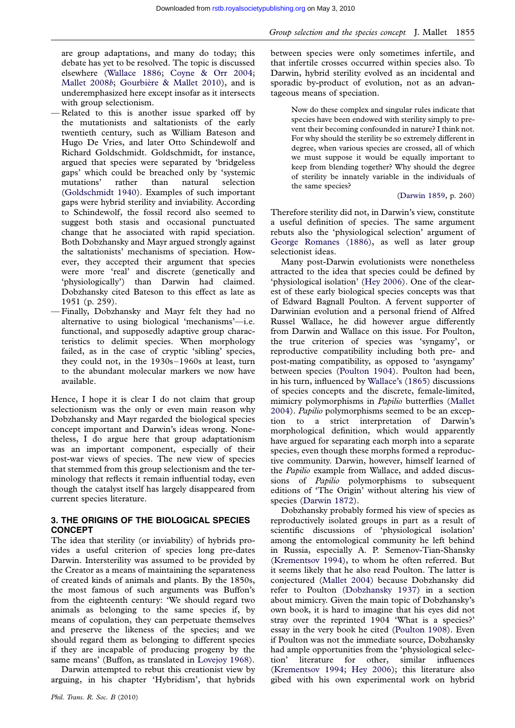Group selection and the species concept J. Mallet 1855

are group adaptations, and many do today; this debate has yet to be resolved. The topic is discussed elsewhere ([Wallace 1886;](#page-11-0) [Coyne & Orr 2004](#page-9-0); [Mallet 2008](#page-10-0)b; Gourbière & Mallet 2010), and is underemphasized here except insofar as it intersects with group selectionism.

- Related to this is another issue sparked off by the mutationists and saltationists of the early twentieth century, such as William Bateson and Hugo De Vries, and later Otto Schindewolf and Richard Goldschmidt. Goldschmidt, for instance, argued that species were separated by 'bridgeless gaps' which could be breached only by 'systemic mutations' rather than natural selection ([Goldschmidt 1940\)](#page-10-0). Examples of such important gaps were hybrid sterility and inviability. According to Schindewolf, the fossil record also seemed to suggest both stasis and occasional punctuated change that he associated with rapid speciation. Both Dobzhansky and Mayr argued strongly against the saltationists' mechanisms of speciation. However, they accepted their argument that species were more 'real' and discrete (genetically and 'physiologically') than Darwin had claimed. Dobzhansky cited Bateson to this effect as late as 1951 (p. 259).
- Finally, Dobzhansky and Mayr felt they had no alternative to using biological 'mechanisms'—i.e. functional, and supposedly adaptive group characteristics to delimit species. When morphology failed, as in the case of cryptic 'sibling' species, they could not, in the 1930s-1960s at least, turn to the abundant molecular markers we now have available.

Hence, I hope it is clear I do not claim that group selectionism was the only or even main reason why Dobzhansky and Mayr regarded the biological species concept important and Darwin's ideas wrong. Nonetheless, I do argue here that group adaptationism was an important component, especially of their post-war views of species. The new view of species that stemmed from this group selectionism and the terminology that reflects it remain influential today, even though the catalyst itself has largely disappeared from current species literature.

## 3. THE ORIGINS OF THE BIOLOGICAL SPECIES **CONCEPT**

The idea that sterility (or inviability) of hybrids provides a useful criterion of species long pre-dates Darwin. Intersterility was assumed to be provided by the Creator as a means of maintaining the separateness of created kinds of animals and plants. By the 1850s, the most famous of such arguments was Buffon's from the eighteenth century: 'We should regard two animals as belonging to the same species if, by means of copulation, they can perpetuate themselves and preserve the likeness of the species; and we should regard them as belonging to different species if they are incapable of producing progeny by the same means' (Buffon, as translated in [Lovejoy 1968\)](#page-10-0).

Darwin attempted to rebut this creationist view by arguing, in his chapter 'Hybridism', that hybrids between species were only sometimes infertile, and that infertile crosses occurred within species also. To Darwin, hybrid sterility evolved as an incidental and sporadic by-product of evolution, not as an advantageous means of speciation.

Now do these complex and singular rules indicate that species have been endowed with sterility simply to prevent their becoming confounded in nature? I think not. For why should the sterility be so extremely different in degree, when various species are crossed, all of which we must suppose it would be equally important to keep from blending together? Why should the degree of sterility be innately variable in the individuals of the same species?

#### [\(Darwin 1859,](#page-9-0) p. 260)

Therefore sterility did not, in Darwin's view, constitute a useful definition of species. The same argument rebuts also the 'physiological selection' argument of [George Romanes \(1886\),](#page-11-0) as well as later group selectionist ideas.

Many post-Darwin evolutionists were nonetheless attracted to the idea that species could be defined by 'physiological isolation' ([Hey 2006\)](#page-10-0). One of the clearest of these early biological species concepts was that of Edward Bagnall Poulton. A fervent supporter of Darwinian evolution and a personal friend of Alfred Russel Wallace, he did however argue differently from Darwin and Wallace on this issue. For Poulton, the true criterion of species was 'syngamy', or reproductive compatibility including both pre- and post-mating compatibility, as opposed to 'asyngamy' between species ([Poulton 1904\)](#page-10-0). Poulton had been, in his turn, influenced by [Wallace's \(1865\)](#page-11-0) discussions of species concepts and the discrete, female-limited, mimicry polymorphisms in Papilio butterflies ([Mallet](#page-10-0) [2004](#page-10-0)). Papilio polymorphisms seemed to be an exception to a strict interpretation of Darwin's morphological definition, which would apparently have argued for separating each morph into a separate species, even though these morphs formed a reproductive community. Darwin, however, himself learned of the Papilio example from Wallace, and added discussions of Papilio polymorphisms to subsequent editions of 'The Origin' without altering his view of species ([Darwin 1872\)](#page-9-0).

Dobzhansky probably formed his view of species as reproductively isolated groups in part as a result of scientific discussions of 'physiological isolation' among the entomological community he left behind in Russia, especially A. P. Semenov-Tian-Shansky ([Krementsov 1994\)](#page-10-0), to whom he often referred. But it seems likely that he also read Poulton. The latter is conjectured ([Mallet 2004](#page-10-0)) because Dobzhansky did refer to Poulton ([Dobzhansky 1937\)](#page-9-0) in a section about mimicry. Given the main topic of Dobzhansky's own book, it is hard to imagine that his eyes did not stray over the reprinted 1904 'What is a species?' essay in the very book he cited ([Poulton 1908\)](#page-10-0). Even if Poulton was not the immediate source, Dobzhansky had ample opportunities from the 'physiological selection' literature for other, similar influences ([Krementsov 1994;](#page-10-0) [Hey 2006\)](#page-10-0); this literature also gibed with his own experimental work on hybrid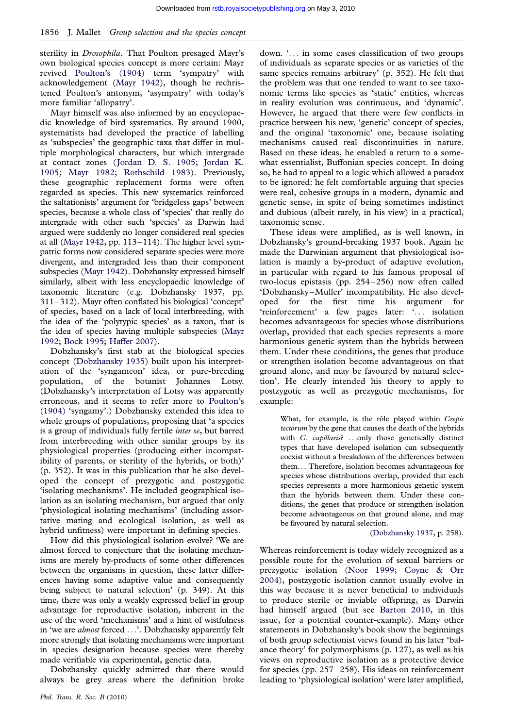sterility in Drosophila. That Poulton presaged Mayr's own biological species concept is more certain: Mayr revived [Poulton's \(1904\)](#page-10-0) term 'sympatry' with acknowledgement ([Mayr 1942\)](#page-10-0), though he rechristened Poulton's antonym, 'asympatry' with today's more familiar 'allopatry'.

Mayr himself was also informed by an encyclopaedic knowledge of bird systematics. By around 1900, systematists had developed the practice of labelling as 'subspecies' the geographic taxa that differ in multiple morphological characters, but which intergrade at contact zones ([Jordan D. S. 1905](#page-10-0); [Jordan K.](#page-10-0) [1905](#page-10-0); [Mayr 1982;](#page-10-0) [Rothschild 1983](#page-11-0)). Previously, these geographic replacement forms were often regarded as species. This new systematics reinforced the saltationists' argument for 'bridgeless gaps' between species, because a whole class of 'species' that really do intergrade with other such 'species' as Darwin had argued were suddenly no longer considered real species at all [\(Mayr 1942](#page-10-0), pp.  $113-114$ ). The higher level sympatric forms now considered separate species were more divergent, and intergraded less than their component subspecies [\(Mayr 1942\)](#page-10-0). Dobzhansky expressed himself similarly, albeit with less encyclopaedic knowledge of taxonomic literature (e.g. Dobzhansky 1937, pp. 311–312). Mayr often conflated his biological 'concept' of species, based on a lack of local interbreeding, with the idea of the 'polytypic species' as a taxon, that is the idea of species having multiple subspecies [\(Mayr](#page-10-0) [1992;](#page-10-0) [Bock 1995](#page-9-0); [Haffer 2007](#page-10-0)).

Dobzhansky's first stab at the biological species concept [\(Dobzhansky 1935\)](#page-9-0) built upon his interpretation of the 'syngameon' idea, or pure-breeding population, of the botanist Johannes Lotsy. (Dobzhansky's interpretation of Lotsy was apparently erroneous, and it seems to refer more to [Poulton's](#page-10-0) [\(1904\)](#page-10-0) 'syngamy'.) Dobzhansky extended this idea to whole groups of populations, proposing that 'a species is a group of individuals fully fertile inter se, but barred from interbreeding with other similar groups by its physiological properties (producing either incompatibility of parents, or sterility of the hybrids, or both)' (p. 352). It was in this publication that he also developed the concept of prezygotic and postzygotic 'isolating mechanisms'. He included geographical isolation as an isolating mechanism, but argued that only 'physiological isolating mechanisms' (including assortative mating and ecological isolation, as well as hybrid unfitness) were important in defining species.

How did this physiological isolation evolve? 'We are almost forced to conjecture that the isolating mechanisms are merely by-products of some other differences between the organisms in question, these latter differences having some adaptive value and consequently being subject to natural selection' (p. 349). At this time, there was only a weakly expressed belief in group advantage for reproductive isolation, inherent in the use of the word 'mechanisms' and a hint of wistfulness in 'we are almost forced ...'. Dobzhansky apparently felt more strongly that isolating mechanisms were important in species designation because species were thereby made verifiable via experimental, genetic data.

Dobzhansky quickly admitted that there would always be grey areas where the definition broke down. '... in some cases classification of two groups of individuals as separate species or as varieties of the same species remains arbitrary' (p. 352). He felt that the problem was that one tended to want to see taxonomic terms like species as 'static' entities, whereas in reality evolution was continuous, and 'dynamic'. However, he argued that there were few conflicts in practice between his new, 'genetic' concept of species, and the original 'taxonomic' one, because isolating mechanisms caused real discontinuities in nature. Based on these ideas, he enabled a return to a somewhat essentialist, Buffonian species concept. In doing so, he had to appeal to a logic which allowed a paradox to be ignored: he felt comfortable arguing that species were real, cohesive groups in a modern, dynamic and genetic sense, in spite of being sometimes indistinct and dubious (albeit rarely, in his view) in a practical, taxonomic sense.

These ideas were amplified, as is well known, in Dobzhansky's ground-breaking 1937 book. Again he made the Darwinian argument that physiological isolation is mainly a by-product of adaptive evolution, in particular with regard to his famous proposal of two-locus epistasis (pp. 254 –256) now often called 'Dobzhansky –Muller' incompatibility. He also developed for the first time his argument for 'reinforcement' a few pages later: '... isolation becomes advantageous for species whose distributions overlap, provided that each species represents a more harmonious genetic system than the hybrids between them. Under these conditions, the genes that produce or strengthen isolation become advantageous on that ground alone, and may be favoured by natural selection'. He clearly intended his theory to apply to postzygotic as well as prezygotic mechanisms, for example:

What, for example, is the rôle played within Crepis tectorum by the gene that causes the death of the hybrids with C. capillaris? ...only those genetically distinct types that have developed isolation can subsequently coexist without a breakdown of the differences between them... Therefore, isolation becomes advantageous for species whose distributions overlap, provided that each species represents a more harmonious genetic system than the hybrids between them. Under these conditions, the genes that produce or strengthen isolation become advantageous on that ground alone, and may be favoured by natural selection.

[\(Dobzhansky 1937,](#page-9-0) p. 258).

Whereas reinforcement is today widely recognized as a possible route for the evolution of sexual barriers or prezygotic isolation [\(Noor 1999](#page-10-0); [Coyne & Orr](#page-9-0) [2004](#page-9-0)), postzygotic isolation cannot usually evolve in this way because it is never beneficial to individuals to produce sterile or inviable offspring, as Darwin had himself argued (but see [Barton 2010](#page-9-0), in this issue, for a potential counter-example). Many other statements in Dobzhansky's book show the beginnings of both group selectionist views found in his later 'balance theory' for polymorphisms (p. 127), as well as his views on reproductive isolation as a protective device for species (pp. 257 –258). His ideas on reinforcement leading to 'physiological isolation' were later amplified,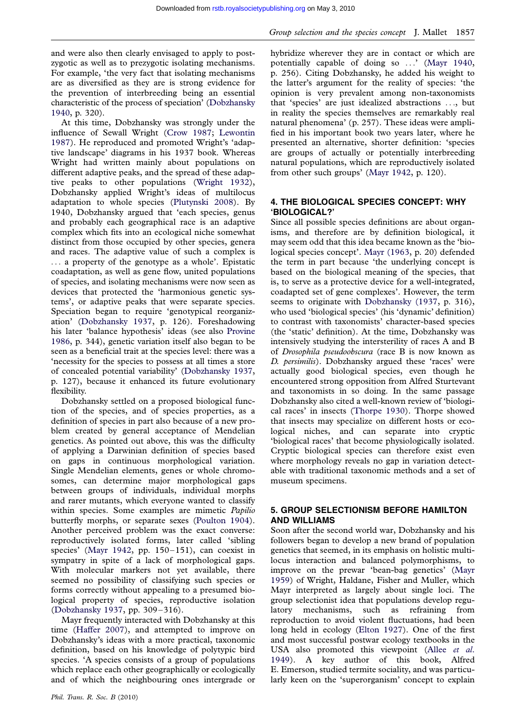and were also then clearly envisaged to apply to postzygotic as well as to prezygotic isolating mechanisms. For example, 'the very fact that isolating mechanisms are as diversified as they are is strong evidence for the prevention of interbreeding being an essential characteristic of the process of speciation' ([Dobzhansky](#page-9-0) [1940,](#page-9-0) p. 320).

At this time, Dobzhansky was strongly under the influence of Sewall Wright ([Crow 1987;](#page-9-0) [Lewontin](#page-10-0) [1987](#page-10-0)). He reproduced and promoted Wright's 'adaptive landscape' diagrams in his 1937 book. Whereas Wright had written mainly about populations on different adaptive peaks, and the spread of these adaptive peaks to other populations [\(Wright 1932](#page-11-0)), Dobzhansky applied Wright's ideas of multilocus adaptation to whole species ([Plutynski 2008\)](#page-10-0). By 1940, Dobzhansky argued that 'each species, genus and probably each geographical race is an adaptive complex which fits into an ecological niche somewhat distinct from those occupied by other species, genera and races. The adaptive value of such a complex is ... a property of the genotype as a whole'. Epistatic coadaptation, as well as gene flow, united populations of species, and isolating mechanisms were now seen as devices that protected the 'harmonious genetic systems', or adaptive peaks that were separate species. Speciation began to require 'genotypical reorganization' ([Dobzhansky 1937,](#page-9-0) p. 126). Foreshadowing his later 'balance hypothesis' ideas (see also [Provine](#page-10-0) [1986,](#page-10-0) p. 344), genetic variation itself also began to be seen as a beneficial trait at the species level: there was a 'necessity for the species to possess at all times a store of concealed potential variability' ([Dobzhansky 1937](#page-9-0), p. 127), because it enhanced its future evolutionary flexibility.

Dobzhansky settled on a proposed biological function of the species, and of species properties, as a definition of species in part also because of a new problem created by general acceptance of Mendelian genetics. As pointed out above, this was the difficulty of applying a Darwinian definition of species based on gaps in continuous morphological variation. Single Mendelian elements, genes or whole chromosomes, can determine major morphological gaps between groups of individuals, individual morphs and rarer mutants, which everyone wanted to classify within species. Some examples are mimetic Papilio butterfly morphs, or separate sexes ([Poulton 1904](#page-10-0)). Another perceived problem was the exact converse: reproductively isolated forms, later called 'sibling species' [\(Mayr 1942,](#page-10-0) pp.  $150-151$ ), can coexist in sympatry in spite of a lack of morphological gaps. With molecular markers not yet available, there seemed no possibility of classifying such species or forms correctly without appealing to a presumed biological property of species, reproductive isolation ([Dobzhansky 1937](#page-9-0), pp. 309 –316).

Mayr frequently interacted with Dobzhansky at this time [\(Haffer 2007\)](#page-10-0), and attempted to improve on Dobzhansky's ideas with a more practical, taxonomic definition, based on his knowledge of polytypic bird species. 'A species consists of a group of populations which replace each other geographically or ecologically and of which the neighbouring ones intergrade or

hybridize wherever they are in contact or which are potentially capable of doing so ...' ([Mayr 1940](#page-10-0), p. 256). Citing Dobzhansky, he added his weight to the latter's argument for the reality of species: 'the opinion is very prevalent among non-taxonomists that 'species' are just idealized abstractions ..., but in reality the species themselves are remarkably real natural phenomena' (p. 257). These ideas were amplified in his important book two years later, where he presented an alternative, shorter definition: 'species are groups of actually or potentially interbreeding natural populations, which are reproductively isolated from other such groups' [\(Mayr 1942](#page-10-0), p. 120).

## 4. THE BIOLOGICAL SPECIES CONCEPT: WHY 'BIOLOGICAL?'

Since all possible species definitions are about organisms, and therefore are by definition biological, it may seem odd that this idea became known as the 'biological species concept'. [Mayr \(1963](#page-10-0), p. 20) defended the term in part because 'the underlying concept is based on the biological meaning of the species, that is, to serve as a protective device for a well-integrated, coadapted set of gene complexes'. However, the term seems to originate with [Dobzhansky \(1937](#page-9-0), p. 316), who used 'biological species' (his 'dynamic' definition) to contrast with taxonomists' character-based species (the 'static' definition). At the time, Dobzhansky was intensively studying the intersterility of races A and B of Drosophila pseudoobscura (race B is now known as D. persimilis). Dobzhansky argued these 'races' were actually good biological species, even though he encountered strong opposition from Alfred Sturtevant and taxonomists in so doing. In the same passage Dobzhansky also cited a well-known review of 'biological races' in insects ([Thorpe 1930](#page-11-0)). Thorpe showed that insects may specialize on different hosts or ecological niches, and can separate into cryptic 'biological races' that become physiologically isolated. Cryptic biological species can therefore exist even where morphology reveals no gap in variation detectable with traditional taxonomic methods and a set of museum specimens.

## 5. GROUP SELECTIONISM BEFORE HAMILTON AND WILLIAMS

Soon after the second world war, Dobzhansky and his followers began to develop a new brand of population genetics that seemed, in its emphasis on holistic multilocus interaction and balanced polymorphisms, to improve on the prewar 'bean-bag genetics' ([Mayr](#page-10-0) [1959](#page-10-0)) of Wright, Haldane, Fisher and Muller, which Mayr interpreted as largely about single loci. The group selectionist idea that populations develop regulatory mechanisms, such as refraining from reproduction to avoid violent fluctuations, had been long held in ecology ([Elton 1927\)](#page-9-0). One of the first and most successful postwar ecology textbooks in the USA also promoted this viewpoint [\(Allee](#page-9-0) et al. [1949](#page-9-0)). A key author of this book, Alfred E. Emerson, studied termite sociality, and was particularly keen on the 'superorganism' concept to explain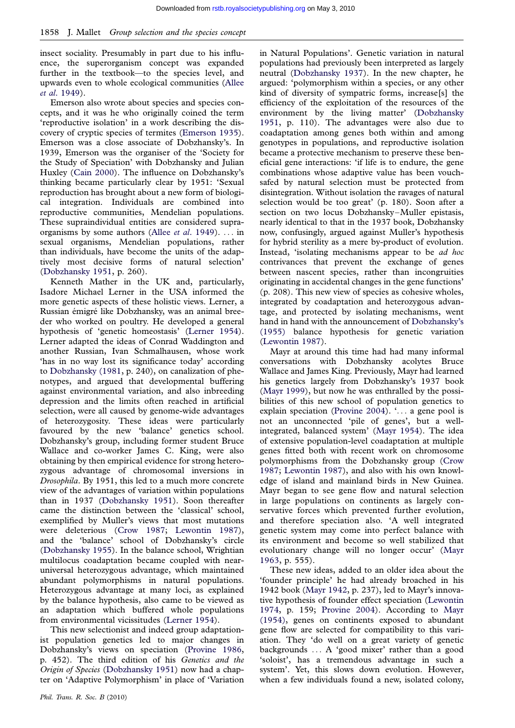insect sociality. Presumably in part due to his influence, the superorganism concept was expanded further in the textbook—to the species level, and upwards even to whole ecological communities [\(Allee](#page-9-0) et al[. 1949](#page-9-0)).

Emerson also wrote about species and species concepts, and it was he who originally coined the term 'reproductive isolation' in a work describing the discovery of cryptic species of termites ([Emerson 1935\)](#page-9-0). Emerson was a close associate of Dobzhansky's. In 1939, Emerson was the organiser of the 'Society for the Study of Speciation' with Dobzhansky and Julian Huxley [\(Cain 2000\)](#page-9-0). The influence on Dobzhansky's thinking became particularly clear by 1951: 'Sexual reproduction has brought about a new form of biological integration. Individuals are combined into reproductive communities, Mendelian populations. These supraindividual entities are considered supraorganisms by some authors (Allee *et al.* 1949). ... in sexual organisms, Mendelian populations, rather than individuals, have become the units of the adaptively most decisive forms of natural selection' [\(Dobzhansky 1951](#page-9-0), p. 260).

Kenneth Mather in the UK and, particularly, Isadore Michael Lerner in the USA informed the more genetic aspects of these holistic views. Lerner, a Russian émigré like Dobzhansky, was an animal breeder who worked on poultry. He developed a general hypothesis of 'genetic homeostasis' ([Lerner 1954\)](#page-10-0). Lerner adapted the ideas of Conrad Waddington and another Russian, Ivan Schmalhausen, whose work 'has in no way lost its significance today' according to [Dobzhansky \(1981](#page-9-0), p. 240), on canalization of phenotypes, and argued that developmental buffering against environmental variation, and also inbreeding depression and the limits often reached in artificial selection, were all caused by genome-wide advantages of heterozygosity. These ideas were particularly favoured by the new 'balance' genetics school. Dobzhansky's group, including former student Bruce Wallace and co-worker James C. King, were also obtaining by then empirical evidence for strong heterozygous advantage of chromosomal inversions in Drosophila. By 1951, this led to a much more concrete view of the advantages of variation within populations than in 1937 ([Dobzhansky 1951\)](#page-9-0). Soon thereafter came the distinction between the 'classical' school, exemplified by Muller's views that most mutations were deleterious ([Crow 1987;](#page-9-0) [Lewontin 1987\)](#page-10-0), and the 'balance' school of Dobzhansky's circle [\(Dobzhansky 1955](#page-9-0)). In the balance school, Wrightian multilocus coadaptation became coupled with nearuniversal heterozygous advantage, which maintained abundant polymorphisms in natural populations. Heterozygous advantage at many loci, as explained by the balance hypothesis, also came to be viewed as an adaptation which buffered whole populations from environmental vicissitudes ([Lerner 1954\)](#page-10-0).

This new selectionist and indeed group adaptationist population genetics led to major changes in Dobzhansky's views on speciation [\(Provine 1986](#page-10-0), p. 452). The third edition of his Genetics and the Origin of Species ([Dobzhansky 1951\)](#page-9-0) now had a chapter on 'Adaptive Polymorphism' in place of 'Variation in Natural Populations'. Genetic variation in natural populations had previously been interpreted as largely neutral [\(Dobzhansky 1937\)](#page-9-0). In the new chapter, he argued: 'polymorphism within a species, or any other kind of diversity of sympatric forms, increase[s] the efficiency of the exploitation of the resources of the environment by the living matter' [\(Dobzhansky](#page-9-0) [1951](#page-9-0), p. 110). The advantages were also due to coadaptation among genes both within and among genotypes in populations, and reproductive isolation became a protective mechanism to preserve these beneficial gene interactions: 'if life is to endure, the gene combinations whose adaptive value has been vouchsafed by natural selection must be protected from disintegration. Without isolation the ravages of natural selection would be too great' (p. 180). Soon after a section on two locus Dobzhansky-Muller epistasis, nearly identical to that in the 1937 book, Dobzhansky now, confusingly, argued against Muller's hypothesis for hybrid sterility as a mere by-product of evolution. Instead, 'isolating mechanisms appear to be ad hoc contrivances that prevent the exchange of genes between nascent species, rather than incongruities originating in accidental changes in the gene functions' (p. 208). This new view of species as cohesive wholes, integrated by coadaptation and heterozygous advantage, and protected by isolating mechanisms, went hand in hand with the announcement of [Dobzhansky's](#page-9-0) [\(1955\)](#page-9-0) balance hypothesis for genetic variation [\(Lewontin 1987](#page-10-0)).

Mayr at around this time had had many informal conversations with Dobzhansky acolytes Bruce Wallace and James King. Previously, Mayr had learned his genetics largely from Dobzhansky's 1937 book [\(Mayr 1999\)](#page-10-0), but now he was enthralled by the possibilities of this new school of population genetics to explain speciation [\(Provine 2004](#page-10-0)). '... a gene pool is not an unconnected 'pile of genes', but a wellintegrated, balanced system' ([Mayr 1954\)](#page-10-0). The idea of extensive population-level coadaptation at multiple genes fitted both with recent work on chromosome polymorphisms from the Dobzhansky group [\(Crow](#page-9-0) [1987](#page-9-0); [Lewontin 1987\)](#page-10-0), and also with his own knowledge of island and mainland birds in New Guinea. Mayr began to see gene flow and natural selection in large populations on continents as largely conservative forces which prevented further evolution, and therefore speciation also. 'A well integrated genetic system may come into perfect balance with its environment and become so well stabilized that evolutionary change will no longer occur' ([Mayr](#page-10-0) [1963,](#page-10-0) p. 555).

These new ideas, added to an older idea about the 'founder principle' he had already broached in his 1942 book [\(Mayr 1942](#page-10-0), p. 237), led to Mayr's innovative hypothesis of founder effect speciation ([Lewontin](#page-10-0) [1974](#page-10-0), p. 159; [Provine 2004\)](#page-10-0). According to [Mayr](#page-10-0) [\(1954\)](#page-10-0), genes on continents exposed to abundant gene flow are selected for compatibility to this variation. They 'do well on a great variety of genetic backgrounds ... A 'good mixer' rather than a good 'soloist', has a tremendous advantage in such a system'. Yet, this slows down evolution. However, when a few individuals found a new, isolated colony,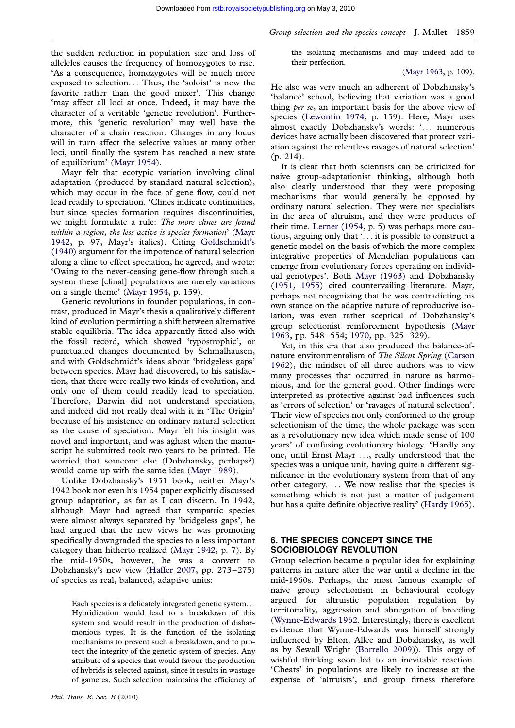the sudden reduction in population size and loss of alleleles causes the frequency of homozygotes to rise. 'As a consequence, homozygotes will be much more exposed to selection... Thus, the 'soloist' is now the favorite rather than the good mixer'. This change 'may affect all loci at once. Indeed, it may have the character of a veritable 'genetic revolution'. Furthermore, this 'genetic revolution' may well have the character of a chain reaction. Changes in any locus will in turn affect the selective values at many other loci, until finally the system has reached a new state of equilibrium' ([Mayr 1954](#page-10-0)).

Mayr felt that ecotypic variation involving clinal adaptation (produced by standard natural selection), which may occur in the face of gene flow, could not lead readily to speciation. 'Clines indicate continuities, but since species formation requires discontinuities, we might formulate a rule: The more clines are found within a region, the less active is species formation' ([Mayr](#page-10-0) [1942,](#page-10-0) p. 97, Mayr's italics). Citing [Goldschmidt's](#page-10-0) [\(1940\)](#page-10-0) argument for the impotence of natural selection along a cline to effect speciation, he agreed, and wrote: 'Owing to the never-ceasing gene-flow through such a system these [clinal] populations are merely variations on a single theme' [\(Mayr 1954](#page-10-0), p. 159).

Genetic revolutions in founder populations, in contrast, produced in Mayr's thesis a qualitatively different kind of evolution permitting a shift between alternative stable equilibria. The idea apparently fitted also with the fossil record, which showed 'typostrophic', or punctuated changes documented by Schmalhausen, and with Goldschmidt's ideas about 'bridgeless gaps' between species. Mayr had discovered, to his satisfaction, that there were really two kinds of evolution, and only one of them could readily lead to speciation. Therefore, Darwin did not understand speciation, and indeed did not really deal with it in 'The Origin' because of his insistence on ordinary natural selection as the cause of speciation. Mayr felt his insight was novel and important, and was aghast when the manuscript he submitted took two years to be printed. He worried that someone else (Dobzhansky, perhaps?) would come up with the same idea [\(Mayr 1989](#page-10-0)).

Unlike Dobzhansky's 1951 book, neither Mayr's 1942 book nor even his 1954 paper explicitly discussed group adaptation, as far as I can discern. In 1942, although Mayr had agreed that sympatric species were almost always separated by 'bridgeless gaps', he had argued that the new views he was promoting specifically downgraded the species to a less important category than hitherto realized ([Mayr 1942](#page-10-0), p. 7). By the mid-1950s, however, he was a convert to Dobzhansky's new view [\(Haffer 2007](#page-10-0), pp. 273–275) of species as real, balanced, adaptive units:

> Each species is a delicately integrated genetic system... Hybridization would lead to a breakdown of this system and would result in the production of disharmonious types. It is the function of the isolating mechanisms to prevent such a breakdown, and to protect the integrity of the genetic system of species. Any attribute of a species that would favour the production of hybrids is selected against, since it results in wastage of gametes. Such selection maintains the efficiency of

the isolating mechanisms and may indeed add to their perfection.

#### [\(Mayr 1963](#page-10-0), p. 109).

He also was very much an adherent of Dobzhansky's 'balance' school, believing that variation was a good thing per se, an important basis for the above view of species ([Lewontin 1974,](#page-10-0) p. 159). Here, Mayr uses almost exactly Dobzhansky's words: '... numerous devices have actually been discovered that protect variation against the relentless ravages of natural selection' (p. 214).

It is clear that both scientists can be criticized for naive group-adaptationist thinking, although both also clearly understood that they were proposing mechanisms that would generally be opposed by ordinary natural selection. They were not specialists in the area of altruism, and they were products of their time. [Lerner \(1954,](#page-10-0) p. 5) was perhaps more cautious, arguing only that '... it is possible to construct a genetic model on the basis of which the more complex integrative properties of Mendelian populations can emerge from evolutionary forces operating on individual genotypes'. Both [Mayr \(1963\)](#page-10-0) and Dobzhansky ([1951,](#page-9-0) [1955\)](#page-9-0) cited countervailing literature. Mayr, perhaps not recognizing that he was contradicting his own stance on the adaptive nature of reproductive isolation, was even rather sceptical of Dobzhansky's group selectionist reinforcement hypothesis ([Mayr](#page-10-0) [1963](#page-10-0), pp. 548-554; [1970,](#page-10-0) pp. 325-329).

Yet, in this era that also produced the balance-ofnature environmentalism of *The Silent Spring* [\(Carson](#page-9-0) [1962](#page-9-0)), the mindset of all three authors was to view many processes that occurred in nature as harmonious, and for the general good. Other findings were interpreted as protective against bad influences such as 'errors of selection' or 'ravages of natural selection'. Their view of species not only conformed to the group selectionism of the time, the whole package was seen as a revolutionary new idea which made sense of 100 years' of confusing evolutionary biology. 'Hardly any one, until Ernst Mayr ..., really understood that the species was a unique unit, having quite a different significance in the evolutionary system from that of any other category. ... We now realise that the species is something which is not just a matter of judgement but has a quite definite objective reality' [\(Hardy 1965](#page-10-0)).

#### 6. THE SPECIES CONCEPT SINCE THE SOCIOBIOLOGY REVOLUTION

Group selection became a popular idea for explaining patterns in nature after the war until a decline in the mid-1960s. Perhaps, the most famous example of naive group selectionism in behavioural ecology argued for altruistic population regulation by territoriality, aggression and abnegation of breeding ([Wynne-Edwards 1962](#page-11-0). Interestingly, there is excellent evidence that Wynne-Edwards was himself strongly influenced by Elton, Allee and Dobzhansky, as well as by Sewall Wright [\(Borrello 2009\)](#page-9-0)). This orgy of wishful thinking soon led to an inevitable reaction. 'Cheats' in populations are likely to increase at the expense of 'altruists', and group fitness therefore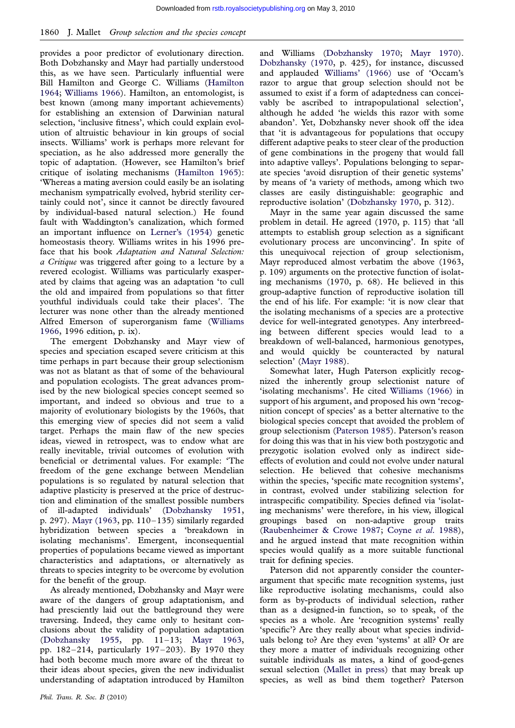provides a poor predictor of evolutionary direction. Both Dobzhansky and Mayr had partially understood this, as we have seen. Particularly influential were Bill Hamilton and George C. Williams [\(Hamilton](#page-10-0) [1964](#page-10-0); [Williams 1966](#page-11-0)). Hamilton, an entomologist, is best known (among many important achievements) for establishing an extension of Darwinian natural selection, 'inclusive fitness', which could explain evolution of altruistic behaviour in kin groups of social insects. Williams' work is perhaps more relevant for speciation, as he also addressed more generally the topic of adaptation. (However, see Hamilton's brief critique of isolating mechanisms ([Hamilton 1965\)](#page-10-0): 'Whereas a mating aversion could easily be an isolating mechanism sympatrically evolved, hybrid sterility certainly could not', since it cannot be directly favoured by individual-based natural selection.) He found fault with Waddington's canalization, which formed an important influence on [Lerner's \(1954\)](#page-10-0) genetic homeostasis theory. Williams writes in his 1996 preface that his book Adaptation and Natural Selection: a Critique was triggered after going to a lecture by a revered ecologist. Williams was particularly exasperated by claims that ageing was an adaptation 'to cull the old and impaired from populations so that fitter youthful individuals could take their places'. The lecturer was none other than the already mentioned Alfred Emerson of superorganism fame [\(Williams](#page-11-0) [1966](#page-11-0), 1996 edition, p. ix).

The emergent Dobzhansky and Mayr view of species and speciation escaped severe criticism at this time perhaps in part because their group selectionism was not as blatant as that of some of the behavioural and population ecologists. The great advances promised by the new biological species concept seemed so important, and indeed so obvious and true to a majority of evolutionary biologists by the 1960s, that this emerging view of species did not seem a valid target. Perhaps the main flaw of the new species ideas, viewed in retrospect, was to endow what are really inevitable, trivial outcomes of evolution with beneficial or detrimental values. For example: 'The freedom of the gene exchange between Mendelian populations is so regulated by natural selection that adaptive plasticity is preserved at the price of destruction and elimination of the smallest possible numbers of ill-adapted individuals' [\(Dobzhansky 1951](#page-9-0), p. 297). [Mayr \(1963](#page-10-0), pp.  $110-135$ ) similarly regarded hybridization between species a 'breakdown in isolating mechanisms'. Emergent, inconsequential properties of populations became viewed as important characteristics and adaptations, or alternatively as threats to species integrity to be overcome by evolution for the benefit of the group.

As already mentioned, Dobzhansky and Mayr were aware of the dangers of group adaptationism, and had presciently laid out the battleground they were traversing. Indeed, they came only to hesitant conclusions about the validity of population adaptation [\(Dobzhansky 1955,](#page-9-0) pp. 11 –13; [Mayr 1963](#page-10-0), pp. 182 –214, particularly 197 –203). By 1970 they had both become much more aware of the threat to their ideas about species, given the new individualist understanding of adaptation introduced by Hamilton

and Williams [\(Dobzhansky 1970;](#page-9-0) [Mayr 1970\)](#page-10-0). [Dobzhansky \(1970](#page-9-0), p. 425), for instance, discussed and applauded [Williams' \(1966\)](#page-11-0) use of 'Occam's razor to argue that group selection should not be assumed to exist if a form of adaptedness can conceivably be ascribed to intrapopulational selection', although he added 'he wields this razor with some abandon'. Yet, Dobzhansky never shook off the idea that 'it is advantageous for populations that occupy different adaptive peaks to steer clear of the production of gene combinations in the progeny that would fall into adaptive valleys'. Populations belonging to separate species 'avoid disruption of their genetic systems' by means of 'a variety of methods, among which two classes are easily distinguishable: geographic and reproductive isolation' ([Dobzhansky 1970](#page-9-0), p. 312).

Mayr in the same year again discussed the same problem in detail. He agreed (1970, p. 115) that 'all attempts to establish group selection as a significant evolutionary process are unconvincing'. In spite of this unequivocal rejection of group selectionism, Mayr reproduced almost verbatim the above (1963, p. 109) arguments on the protective function of isolating mechanisms (1970, p. 68). He believed in this group-adaptive function of reproductive isolation till the end of his life. For example: 'it is now clear that the isolating mechanisms of a species are a protective device for well-integrated genotypes. Any interbreeding between different species would lead to a breakdown of well-balanced, harmonious genotypes, and would quickly be counteracted by natural selection' [\(Mayr 1988](#page-10-0)).

Somewhat later, Hugh Paterson explicitly recognized the inherently group selectionist nature of 'isolating mechanisms'. He cited [Williams \(1966\)](#page-11-0) in support of his argument, and proposed his own 'recognition concept of species' as a better alternative to the biological species concept that avoided the problem of group selectionism ([Paterson 1985](#page-10-0)). Paterson's reason for doing this was that in his view both postzygotic and prezygotic isolation evolved only as indirect sideeffects of evolution and could not evolve under natural selection. He believed that cohesive mechanisms within the species, 'specific mate recognition systems', in contrast, evolved under stabilizing selection for intraspecific compatibility. Species defined via 'isolating mechanisms' were therefore, in his view, illogical groupings based on non-adaptive group traits [\(Raubenheimer & Crowe 1987](#page-10-0); Coyne et al[. 1988\)](#page-9-0), and he argued instead that mate recognition within species would qualify as a more suitable functional trait for defining species.

Paterson did not apparently consider the counterargument that specific mate recognition systems, just like reproductive isolating mechanisms, could also form as by-products of individual selection, rather than as a designed-in function, so to speak, of the species as a whole. Are 'recognition systems' really 'specific'? Are they really about what species individuals belong to? Are they even 'systems' at all? Or are they more a matter of individuals recognizing other suitable individuals as mates, a kind of good-genes sexual selection ([Mallet in press\)](#page-10-0) that may break up species, as well as bind them together? Paterson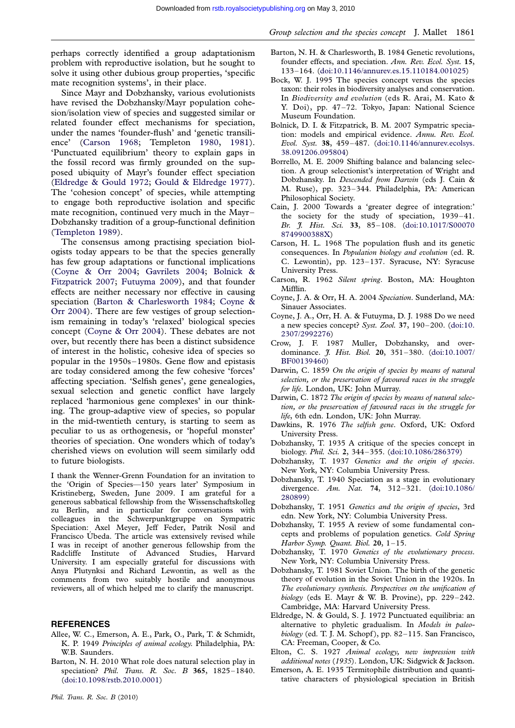Group selection and the species concept J. Mallet 1861

<span id="page-9-0"></span>perhaps correctly identified a group adaptationism problem with reproductive isolation, but he sought to solve it using other dubious group properties, 'specific mate recognition systems', in their place.

Since Mayr and Dobzhansky, various evolutionists have revised the Dobzhansky/Mayr population cohesion/isolation view of species and suggested similar or related founder effect mechanisms for speciation, under the names 'founder-flush' and 'genetic transilience' (Carson 1968; Templeton [1980,](#page-11-0) [1981](#page-11-0)). 'Punctuated equilibrium' theory to explain gaps in the fossil record was firmly grounded on the supposed ubiquity of Mayr's founder effect speciation (Eldredge & Gould 1972; [Gould & Eldredge 1977](#page-10-0)). The 'cohesion concept' of species, while attempting to engage both reproductive isolation and specific mate recognition, continued very much in the Mayr-Dobzhansky tradition of a group-functional definition ([Templeton 1989](#page-11-0)).

The consensus among practising speciation biologists today appears to be that the species generally has few group adaptations or functional implications (Coyne & Orr 2004; [Gavrilets 2004;](#page-10-0) Bolnick & Fitzpatrick 2007; [Futuyma 2009\)](#page-10-0), and that founder effects are neither necessary nor effective in causing speciation (Barton & Charlesworth 1984; Coyne & Orr 2004). There are few vestiges of group selectionism remaining in today's 'relaxed' biological species concept (Coyne & Orr 2004). These debates are not over, but recently there has been a distinct subsidence of interest in the holistic, cohesive idea of species so popular in the 1950s –1980s. Gene flow and epistasis are today considered among the few cohesive 'forces' affecting speciation. 'Selfish genes', gene genealogies, sexual selection and genetic conflict have largely replaced 'harmonious gene complexes' in our thinking. The group-adaptive view of species, so popular in the mid-twentieth century, is starting to seem as peculiar to us as orthogenesis, or 'hopeful monster' theories of speciation. One wonders which of today's cherished views on evolution will seem similarly odd to future biologists.

I thank the Wenner-Grenn Foundation for an invitation to the 'Origin of Species—150 years later' Symposium in Kristineberg, Sweden, June 2009. I am grateful for a generous sabbatical fellowship from the Wissenschaftskolleg zu Berlin, and in particular for conversations with colleagues in the Schwerpunktgruppe on Sympatric Speciation: Axel Meyer, Jeff Feder, Patrik Nosil and Francisco Ubeda. The article was extensively revised while I was in receipt of another generous fellowship from the Radcliffe Institute of Advanced Studies, Harvard University. I am especially grateful for discussions with Anya Plutynksi and Richard Lewontin, as well as the comments from two suitably hostile and anonymous reviewers, all of which helped me to clarify the manuscript.

#### REFERENCES

- Allee, W. C., Emerson, A. E., Park, O., Park, T. & Schmidt, K. P. 1949 Principles of animal ecology. Philadelphia, PA: W.B. Saunders.
- Barton, N. H. 2010 What role does natural selection play in speciation? *Phil. Trans. R. Soc. B* 365, 1825-1840. [\(doi:10.1098/rstb.2010.0001](http://dx.doi.org/doi:10.1098/rstb.2010.0001))
- Barton, N. H. & Charlesworth, B. 1984 Genetic revolutions, founder effects, and speciation. Ann. Rev. Ecol. Syst. 15, 133–164. [\(doi:10.1146/annurev.es.15.110184.001025\)](http://dx.doi.org/doi:10.1146/annurev.es.15.110184.001025)
- Bock, W. J. 1995 The species concept versus the species taxon: their roles in biodiversity analyses and conservation. In Biodiversity and evolution (eds R. Arai, M. Kato & Y. Doi), pp. 47–72. Tokyo, Japan: National Science Museum Foundation.
- Bolnick, D. I. & Fitzpatrick, B. M. 2007 Sympatric speciation: models and empirical evidence. Annu. Rev. Ecol. Evol. Syst. 38, 459 –487. ([doi:10.1146/annurev.ecolsys.](http://dx.doi.org/doi:10.1146/annurev.ecolsys.38.091206.095804) [38.091206.095804\)](http://dx.doi.org/doi:10.1146/annurev.ecolsys.38.091206.095804)
- Borrello, M. E. 2009 Shifting balance and balancing selection. A group selectionist's interpretation of Wright and Dobzhansky. In Descended from Darwin (eds J. Cain & M. Ruse), pp. 323–344. Philadelphia, PA: American Philosophical Society.
- Cain, J. 2000 Towards a 'greater degree of integration:' the society for the study of speciation, 1939–41. Br. *J. Hist. Sci.* 33, 85-108. ([doi:10.1017/S00070](http://dx.doi.org/doi:10.1017/S000708749900388X) [8749900388X\)](http://dx.doi.org/doi:10.1017/S000708749900388X)
- Carson, H. L. 1968 The population flush and its genetic consequences. In Population biology and evolution (ed. R. C. Lewontin), pp. 123-137. Syracuse, NY: Syracuse University Press.
- Carson, R. 1962 Silent spring. Boston, MA: Houghton Mifflin.
- Coyne, J. A. & Orr, H. A. 2004 Speciation. Sunderland, MA: Sinauer Associates.
- Coyne, J. A., Orr, H. A. & Futuyma, D. J. 1988 Do we need a new species concept? Syst. Zool. 37, 190–200. [\(doi:10.](http://dx.doi.org/doi:10.2307/2992276) [2307/2992276](http://dx.doi.org/doi:10.2307/2992276))
- Crow, J. F. 1987 Muller, Dobzhansky, and overdominance. *J. Hist. Biol.* 20, 351-380. ([doi:10.1007/](http://dx.doi.org/doi:10.1007/BF00139460) [BF00139460\)](http://dx.doi.org/doi:10.1007/BF00139460)
- Darwin, C. 1859 On the origin of species by means of natural selection, or the preservation of favoured races in the struggle for life. London, UK: John Murray.
- Darwin, C. 1872 The origin of species by means of natural selection, or the preservation of favoured races in the struggle for life, 6th edn. London, UK: John Murray.
- Dawkins, R. 1976 The selfish gene. Oxford, UK: Oxford University Press.
- Dobzhansky, T. 1935 A critique of the species concept in biology. Phil. Sci. 2, 344–355. ([doi:10.1086/286379](http://dx.doi.org/doi:10.1086/286379))
- Dobzhansky, T. 1937 Genetics and the origin of species. New York, NY: Columbia University Press.
- Dobzhansky, T. 1940 Speciation as a stage in evolutionary divergence. Am. Nat. 74, 312-321. ([doi:10.1086/](http://dx.doi.org/doi:10.1086/280899) [280899\)](http://dx.doi.org/doi:10.1086/280899)
- Dobzhansky, T. 1951 Genetics and the origin of species, 3rd edn. New York, NY: Columbia University Press.
- Dobzhansky, T. 1955 A review of some fundamental concepts and problems of population genetics. Cold Spring Harbor Symp. Quant. Biol. 20, 1-15.
- Dobzhansky, T. 1970 Genetics of the evolutionary process. New York, NY: Columbia University Press.
- Dobzhansky, T. 1981 Soviet Union. The birth of the genetic theory of evolution in the Soviet Union in the 1920s. In The evolutionary synthesis. Perspectives on the unification of biology (eds E. Mayr & W. B. Provine), pp. 229 –242. Cambridge, MA: Harvard University Press.
- Eldredge, N. & Gould, S. J. 1972 Punctuated equilibria: an alternative to phyletic gradualism. In Models in paleobiology (ed. T. J. M. Schopf), pp. 82-115. San Francisco, CA: Freeman, Cooper, & Co.
- Elton, C. S. 1927 Animal ecology, new impression with additional notes (1935). London, UK: Sidgwick & Jackson.
- Emerson, A. E. 1935 Termitophile distribution and quantitative characters of physiological speciation in British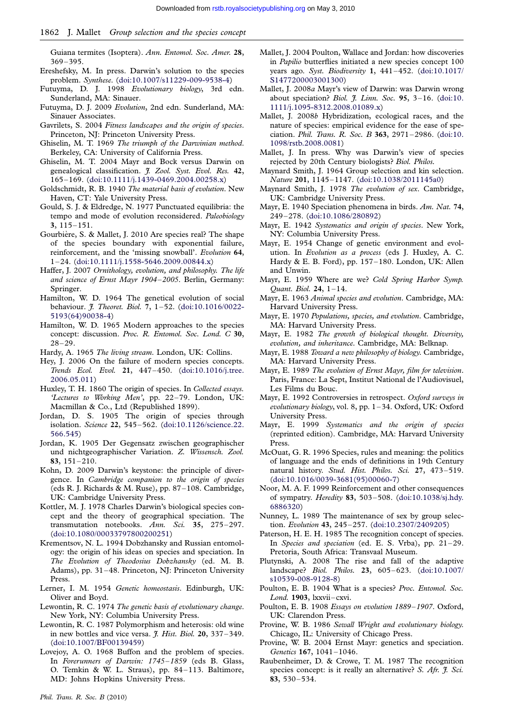<span id="page-10-0"></span>Guiana termites (Isoptera). Ann. Entomol. Soc. Amer. 28,  $369 - 395$ .

- Ereshefsky, M. In press. Darwin's solution to the species problem. Synthese. [\(doi:10.1007/s11229-009-9538-4](http://dx.doi.org/doi:10.1007/s11229-009-9538-4))
- Futuyma, D. J. 1998 Evolutionary biology, 3rd edn. Sunderland, MA: Sinauer.
- Futuyma, D. J. 2009 Evolution, 2nd edn. Sunderland, MA: Sinauer Associates.
- Gavrilets, S. 2004 Fitness landscapes and the origin of species. Princeton, NJ: Princeton University Press.
- Ghiselin, M. T. 1969 The triumph of the Darwinian method. Berkeley, CA: University of California Press.
- Ghiselin, M. T. 2004 Mayr and Bock versus Darwin on genealogical classification. *J. Zool. Syst. Evol. Res.* 42, 165 –169. [\(doi:10.1111/j.1439-0469.2004.00258.x](http://dx.doi.org/doi:10.1111/j.1439-0469.2004.00258.x))
- Goldschmidt, R. B. 1940 The material basis of evolution. New Haven, CT: Yale University Press.
- Gould, S. J. & Eldredge, N. 1977 Punctuated equilibria: the tempo and mode of evolution reconsidered. Paleobiology 3, 115–151.
- Gourbière, S. & Mallet, J. 2010 Are species real? The shape of the species boundary with exponential failure, reinforcement, and the 'missing snowball'. Evolution 64, 1–24. ([doi:10.1111/j.1558-5646.2009.00844.x\)](http://dx.doi.org/doi:10.1111/j.1558-5646.2009.00844.x)
- Haffer, J. 2007 Ornithology, evolution, and philosophy. The life and science of Ernst Mayr 1904–2005. Berlin, Germany: Springer.
- Hamilton, W. D. 1964 The genetical evolution of social behaviour. *J. Theoret. Biol.* 7, 1-52. [\(doi:10.1016/0022-](http://dx.doi.org/doi:10.1016/0022-5193(64)90038-4) [5193\(64\)90038-4](http://dx.doi.org/doi:10.1016/0022-5193(64)90038-4))
- Hamilton, W. D. 1965 Modern approaches to the species concept: discussion. Proc. R. Entomol. Soc. Lond. C 30, 28–29.
- Hardy, A. 1965 The living stream. London, UK: Collins.
- Hey, J. 2006 On the failure of modern species concepts. Trends Ecol. Evol. 21, 447 –450. ([doi:10.1016/j.tree.](http://dx.doi.org/doi:10.1016/j.tree.2006.05.011) [2006.05.011](http://dx.doi.org/doi:10.1016/j.tree.2006.05.011))
- Huxley, T. H. 1860 The origin of species. In Collected essays. 'Lectures to Working Men', pp. 22–79. London, UK: Macmillan & Co., Ltd (Republished 1899).
- Jordan, D. S. 1905 The origin of species through isolation. Science 22, 545 –562. [\(doi:10.1126/science.22.](http://dx.doi.org/doi:10.1126/science.22.566.545) [566.545\)](http://dx.doi.org/doi:10.1126/science.22.566.545)
- Jordan, K. 1905 Der Gegensatz zwischen geographischer und nichtgeographischer Variation. Z. Wissensch. Zool. 83, 151 –210.
- Kohn, D. 2009 Darwin's keystone: the principle of divergence. In Cambridge companion to the origin of species (eds R. J. Richards & M. Ruse), pp. 87–108. Cambridge, UK: Cambridge University Press.
- Kottler, M. J. 1978 Charles Darwin's biological species concept and the theory of geographical speciation. The transmutation notebooks. Ann. Sci. 35, 275–297. ([doi:10.1080/00033797800200251](http://dx.doi.org/doi:10.1080/00033797800200251))
- Krementsov, N. L. 1994 Dobzhansky and Russian entomology: the origin of his ideas on species and speciation. In The Evolution of Theodosius Dobzhansky (ed. M. B. Adams), pp. 31–48. Princeton, NJ: Princeton University Press.
- Lerner, I. M. 1954 Genetic homeostasis. Edinburgh, UK: Oliver and Boyd.
- Lewontin, R. C. 1974 The genetic basis of evolutionary change. New York, NY: Columbia University Press.
- Lewontin, R. C. 1987 Polymorphism and heterosis: old wine in new bottles and vice versa. *J. Hist. Biol.* 20, 337–349. ([doi:10.1007/BF00139459\)](http://dx.doi.org/doi:10.1007/BF00139459)
- Lovejoy, A. O. 1968 Buffon and the problem of species. In Forerunners of Darwin: 1745–1859 (eds B. Glass, O. Temkin & W. L. Straus), pp. 84-113. Baltimore, MD: Johns Hopkins University Press.
- Mallet, J. 2004 Poulton, Wallace and Jordan: how discoveries in Papilio butterflies initiated a new species concept 100 years ago. Syst. Biodiversity 1, 441 –452. [\(doi:10.1017/](http://dx.doi.org/doi:10.1017/S1477200003001300) [S1477200003001300\)](http://dx.doi.org/doi:10.1017/S1477200003001300)
- Mallet, J. 2008a Mayr's view of Darwin: was Darwin wrong about speciation? Biol. J. Linn. Soc. 95, 3-16. ([doi:10.](http://dx.doi.org/doi:10.1111/j.1095-8312.2008.01089.x) [1111/j.1095-8312.2008.01089.x\)](http://dx.doi.org/doi:10.1111/j.1095-8312.2008.01089.x)
- Mallet, J. 2008b Hybridization, ecological races, and the nature of species: empirical evidence for the ease of speciation. Phil. Trans. R. Soc. B 363, 2971–2986. ([doi:10.](http://dx.doi.org/doi:10.1098/rstb.2008.0081) [1098/rstb.2008.0081](http://dx.doi.org/doi:10.1098/rstb.2008.0081))
- Mallet, J. In press. Why was Darwin's view of species rejected by 20th Century biologists? Biol. Philos.
- Maynard Smith, J. 1964 Group selection and kin selection. Nature 201, 1145–1147. ([doi:10.1038/2011145a0\)](http://dx.doi.org/doi:10.1038/2011145a0)
- Maynard Smith, J. 1978 The evolution of sex. Cambridge, UK: Cambridge University Press.
- Mayr, E. 1940 Speciation phenomena in birds. Am. Nat. 74, 249 –278. [\(doi:10.1086/280892](http://dx.doi.org/doi:10.1086/280892))
- Mayr, E. 1942 Systematics and origin of species. New York, NY: Columbia University Press.
- Mayr, E. 1954 Change of genetic environment and evolution. In Evolution as a process (eds J. Huxley, A. C. Hardy & E. B. Ford), pp. 157 –180. London, UK: Allen and Unwin.
- Mayr, E. 1959 Where are we? Cold Spring Harbor Symp. Quant. Biol. 24, 1–14.
- Mayr, E. 1963 Animal species and evolution. Cambridge, MA: Harvard University Press.
- Mayr, E. 1970 Populations, species, and evolution. Cambridge, MA: Harvard University Press.
- Mayr, E. 1982 The growth of biological thought. Diversity, evolution, and inheritance. Cambridge, MA: Belknap.
- Mayr, E. 1988 Toward a new philosophy of biology. Cambridge, MA: Harvard University Press.
- Mayr, E. 1989 The evolution of Ernst Mayr, film for television. Paris, France: La Sept, Institut National de l'Audiovisuel, Les Films du Bouc.
- Mayr, E. 1992 Controversies in retrospect. Oxford surveys in evolutionary biology, vol. 8, pp. 1 –34. Oxford, UK: Oxford University Press.
- Mayr, E. 1999 Systematics and the origin of species (reprinted edition). Cambridge, MA: Harvard University Press.
- McOuat, G. R. 1996 Species, rules and meaning: the politics of language and the ends of definitions in 19th Century natural history. Stud. Hist. Philos. Sci. 27, 473–519. ([doi:10.1016/0039-3681\(95\)00060-7\)](http://dx.doi.org/doi:10.1016/0039-3681(95)00060-7)
- Noor, M. A. F. 1999 Reinforcement and other consequences of sympatry. Heredity 83, 503 –508. [\(doi:10.1038/sj.hdy.](http://dx.doi.org/doi:10.1038/sj.hdy.6886320) [6886320\)](http://dx.doi.org/doi:10.1038/sj.hdy.6886320)
- Nunney, L. 1989 The maintenance of sex by group selection. Evolution 43, 245–257. ([doi:10.2307/2409205\)](http://dx.doi.org/doi:10.2307/2409205)
- Paterson, H. E. H. 1985 The recognition concept of species. In Species and speciation (ed. E. S. Vrba), pp. 21–29. Pretoria, South Africa: Transvaal Museum.
- Plutynski, A. 2008 The rise and fall of the adaptive landscape? Biol. Philos. 23, 605 –623. [\(doi:10.1007/](http://dx.doi.org/doi:10.1007/s10539-008-9128-8) [s10539-008-9128-8](http://dx.doi.org/doi:10.1007/s10539-008-9128-8))
- Poulton, E. B. 1904 What is a species? Proc. Entomol. Soc. Lond. 1903, lxxvii-cxvi.
- Poulton, E. B. 1908 Essays on evolution 1889–1907. Oxford, UK: Clarendon Press.
- Provine, W. B. 1986 Sewall Wright and evolutionary biology. Chicago, IL: University of Chicago Press.
- Provine, W. B. 2004 Ernst Mayr: genetics and speciation. Genetics 167, 1041-1046.
- Raubenheimer, D. & Crowe, T. M. 1987 The recognition species concept: is it really an alternative? S. Afr. J. Sci. 83, 530–534.